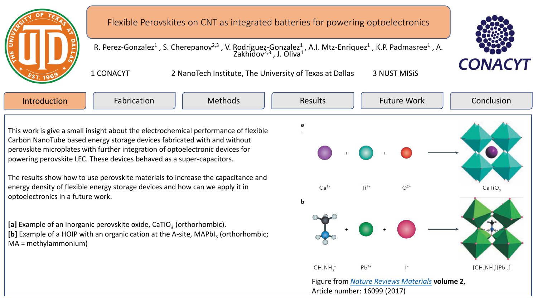

R. Perez-Gonzalez<sup>1</sup>, S. Cherepanov<sup>2,3</sup>, V. Rodriguez-Gonzalez<sup>1</sup>, A.I. Mtz-Enriquez<sup>1</sup>, K.P. Padmasree<sup>1</sup>, A. Zakhidov<sup>2,3</sup>, J. Oliva<sup>1</sup>

1 CONACYT 2 NanoTech Institute, The University of Texas at Dallas 3 NUST MISiS

**CONACYT** 

This work is give a small insight about the electrochemical performance of flexible Carbon NanoTube based energy storage devices fabricated with and without perovskite microplates with further integration of optoelectronic devices for powering perovskite LEC. These devices behaved as a super-capacitors.

The results show how to use perovskite materials to increase the capacitance and energy density of flexible energy storage devices and how can we apply it in optoelectronics in a future work.

[a] Example of an inorganic perovskite oxide, CaTiO<sub>3</sub> (orthorhombic). [b] Example of a HOIP with an organic cation at the A-site, MAPbI<sub>3</sub> (orthorhombic; MA = methylammonium)

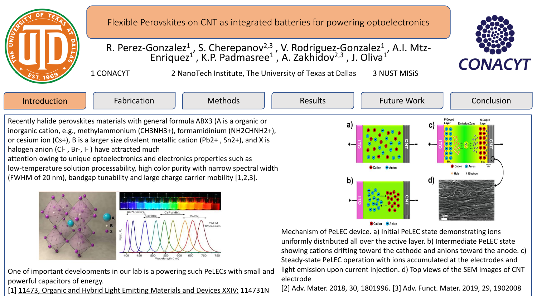

# R. Perez-Gonzalez<sup>1</sup>, S. Cherepanov<sup>2,3</sup>, V. Rodriguez-Gonzalez<sup>1</sup>, A.I. Mtz-Enriquez<sup>1'</sup>, K.P. Padmasree<sup>1</sup>, A. Zakhidov<sup>2,3</sup>, J. Oliva<sup>1</sup>

1 CONACYT 2 NanoTech Institute, The University of Texas at Dallas 3 NUST MISiS



Introduction | Fabrication | Methods | Results | Future Work | Conclusion Results | Future Work Recently halide perovskites materials with general formula ABX3 (A is a organic or inorganic cation, e.g., methylammonium (CH3NH3+), formamidinium (NH2CHNH2+), or cesium ion (Cs+), B is a larger size divalent metallic cation (Pb2+ , Sn2+), and X is halogen anion (Cl- , Br-, I- ) have attracted much attention owing to unique optoelectronics and electronics properties such as low-temperature solution processability, high color purity with narrow spectral width (FWHM of 20 nm), bandgap tunability and large charge carrier mobility [1,2,3]. b



One of important developments in our lab is a powering such PeLECs with small and powerful capacitors of energy.

[1] [11473, Organic and Hybrid Light Emitting Materials and Devices XXIV;](https://www.spiedigitallibrary.org/conference-proceedings-of-spie/11473.toc) 114731N

Mechanism of PeLEC device. a) Initial PeLEC state demonstrating ions

uniformly distributed all over the active layer. b) Intermediate PeLEC state

Steady-state PeLEC operation with ions accumulated at the electrodes and light emission upon current injection. d) Top views of the SEM images of CNT electrode

showing cations drifting toward the cathode and anions toward the anode. c)

[2] Adv. Mater. 2018, 30, 1801996. [3] Adv. Funct. Mater. 2019, 29, 1902008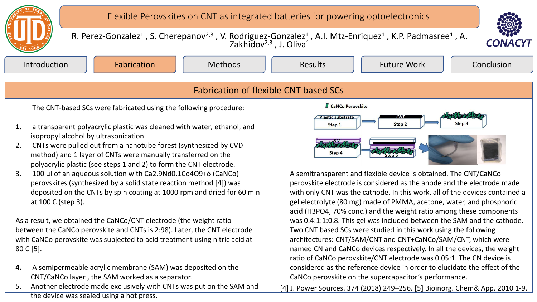

### Fabrication of flexible CNT based SCs

The CNT-based SCs were fabricated using the following procedure:

- **1.** a transparent polyacrylic plastic was cleaned with water, ethanol, and isopropyl alcohol by ultrasonication.
- 2. CNTs were pulled out from a nanotube forest (synthesized by CVD method) and 1 layer of CNTs were manually transferred on the polyacrylic plastic (see steps 1 and 2) to form the CNT electrode.
- 3. 100 μl of an aqueous solution with Ca2.9Nd0.1Co4O9+δ (CaNCo) perovskites (synthesized by a solid state reaction method [4]) was deposited on the CNTs by spin coating at 1000 rpm and dried for 60 min at 100 C (step 3).

As a result, we obtained the CaNCo/CNT electrode (the weight ratio between the CaNCo perovskite and CNTs is 2:98). Later, the CNT electrode with CaNCo perovskite was subjected to acid treatment using nitric acid at 80 C [5].

- **4.** A semipermeable acrylic membrane (SAM) was deposited on the CNT/CaNCo layer , the SAM worked as a separator.
- 5. Another electrode made exclusively with CNTs was put on the SAM and the device was sealed using a hot press.



A semitransparent and flexible device is obtained. The CNT/CaNCo perovskite electrode is considered as the anode and the electrode made with only CNT was the cathode. In this work, all of the devices contained a gel electrolyte (80 mg) made of PMMA, acetone, water, and phosphoric acid (H3PO4, 70% conc.) and the weight ratio among these components was 0.4:1:1:0.8. This gel was included between the SAM and the cathode. Two CNT based SCs were studied in this work using the following architectures: CNT/SAM/CNT and CNT+CaNCo/SAM/CNT, which were named CN and CaNCo devices respectively. In all the devices, the weight ratio of CaNCo perovskite/CNT electrode was 0.05:1. The CN device is considered as the reference device in order to elucidate the effect of the CaNCo perovskite on the supercapacitor's performance.

[4] J. Power Sources. 374 (2018) 249–256. [5] Bioinorg. Chem& App. 2010 1-9.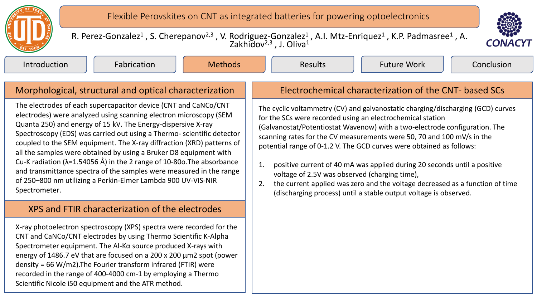

R. Perez-Gonzalez<sup>1</sup>, S. Cherepanov<sup>2,3</sup>, V. Rodriguez-Gonzalez<sup>1</sup>, A.I. Mtz-Enriquez<sup>1</sup>, K.P. Padmasree<sup>1</sup>, A. Zakhidov<sup>2,3</sup>, J. Oliva<sup>1</sup>



Introduction | Fabrication | Methods | Results | Future Work | Conclusion

Results | Future Work

The electrodes of each supercapacitor device (CNT and CaNCo/CNT electrodes) were analyzed using scanning electron microscopy (SEM Quanta 250) and energy of 15 kV. The Energy-dispersive X-ray Spectroscopy (EDS) was carried out using a Thermo- scientific detector coupled to the SEM equipment. The X-ray diffraction (XRD) patterns of all the samples were obtained by using a Bruker D8 equipment with Cu-K radiation (λ=1.54056 Å) in the 2 range of 10-80o.The absorbance and transmittance spectra of the samples were measured in the range of 250–800 nm utilizing a Perkin-Elmer Lambda 900 UV-VIS-NIR Spectrometer.

#### XPS and FTIR characterization of the electrodes

X-ray photoelectron spectroscopy (XPS) spectra were recorded for the CNT and CaNCo/CNT electrodes by using Thermo Scientific K-Alpha Spectrometer equipment. The Al-Kα source produced X-rays with energy of 1486.7 eV that are focused on a 200 x 200 μm2 spot (power density = 66 W/m2).The Fourier transform infrared (FTIR) were recorded in the range of 400-4000 cm-1 by employing a Thermo Scientific Nicole i50 equipment and the ATR method.

## Morphological, structural and optical characterization  $\|\cdot\|$  Electrochemical characterization of the CNT- based SCs

The cyclic voltammetry (CV) and galvanostatic charging/discharging (GCD) curves for the SCs were recorded using an electrochemical station (Galvanostat/Potentiostat Wavenow) with a two-electrode configuration. The scanning rates for the CV measurements were 50, 70 and 100 mV/s in the potential range of 0-1.2 V. The GCD curves were obtained as follows:

- 1. positive current of 40 mA was applied during 20 seconds until a positive voltage of 2.5V was observed (charging time),
- 2. the current applied was zero and the voltage decreased as a function of time (discharging process) until a stable output voltage is observed.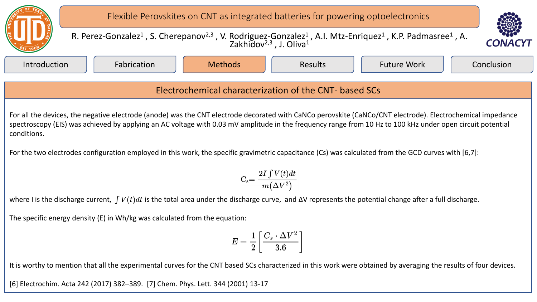

where I is the discharge current,  $\int V(t)dt$  is the total area under the discharge curve, and  $\Delta V$  represents the potential change after a full discharge.

The specific energy density (E) in Wh/kg was calculated from the equation:

$$
E=\frac{1}{2}\bigg[\frac{C_s\cdot\Delta V^2}{3.6}\bigg]
$$

It is worthy to mention that all the experimental curves for the CNT based SCs characterized in this work were obtained by averaging the results of four devices.

[6] Electrochim. Acta 242 (2017) 382–389. [7] Chem. Phys. Lett. 344 (2001) 13-17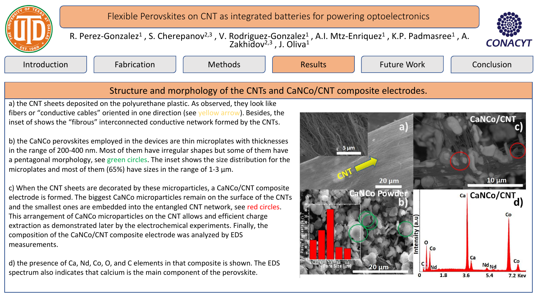



R. Perez-Gonzalez<sup>1</sup>, S. Cherepanov<sup>2,3</sup>, V. Rodriguez-Gonzalez<sup>1</sup>, A.I. Mtz-Enriquez<sup>1</sup>, K.P. Padmasree<sup>1</sup>, A. Zakhidov<sup>2,3</sup>, J. Oliva<sup>1</sup>

Introduction || Fabrication || Methods || Results || Future-Work || Conclusion

Results | Future Work

### Structure and morphology of the CNTs and CaNCo/CNT composite electrodes.

a) the CNT sheets deposited on the polyurethane plastic. As observed, they look like fibers or "conductive cables" oriented in one direction (see yellow arrow). Besides, the inset of shows the "fibrous" interconnected conductive network formed by the CNTs.

b) the CaNCo perovskites employed in the devices are thin microplates with thicknesses in the range of 200-400 nm. Most of them have irregular shapes but some of them have a pentagonal morphology, see green circles. The inset shows the size distribution for the microplates and most of them (65%) have sizes in the range of 1-3  $\mu$ m.

c) When the CNT sheets are decorated by these microparticles, a CaNCo/CNT composite electrode is formed. The biggest CaNCo microparticles remain on the surface of the CNTs and the smallest ones are embedded into the entangled CNT network, see red circles. This arrangement of CaNCo microparticles on the CNT allows and efficient charge extraction as demonstrated later by the electrochemical experiments. Finally, the composition of the CaNCo/CNT composite electrode was analyzed by EDS measurements.

d) the presence of Ca, Nd, Co, O, and C elements in that composite is shown. The EDS spectrum also indicates that calcium is the main component of the perovskite.

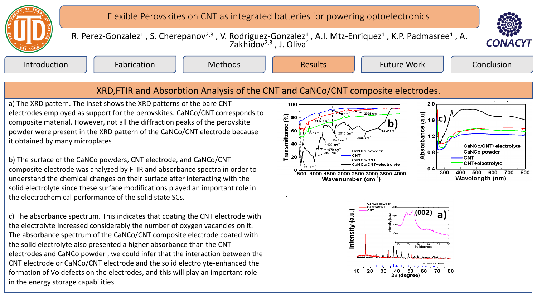



R. Perez-Gonzalez<sup>1</sup>, S. Cherepanov<sup>2,3</sup>, V. Rodriguez-Gonzalez<sup>1</sup>, A.I. Mtz-Enriquez<sup>1</sup>, K.P. Padmasree<sup>1</sup>, A. Zakhidov<sup>2,3</sup>, J. Oliva<sup>1</sup>

Introduction || Fabrication || Methods || Results || Future-Work || Conclusion

Results

Future Work

### XRD,FTIR and Absorbtion Analysis of the CNT and CaNCo/CNT composite electrodes.

a) The XRD pattern. The inset shows the XRD patterns of the bare CNT electrodes employed as support for the perovskites. CaNCo/CNT corresponds to composite material. However, not all the diffraction peaks of the perovskite powder were present in the XRD pattern of the CaNCo/CNT electrode because it obtained by many microplates

b) The surface of the CaNCo powders, CNT electrode, and CaNCo/CNT composite electrode was analyzed by FTIR and absorbance spectra in order to understand the chemical changes on their surface after interacting with the solid electrolyte since these surface modifications played an important role in the electrochemical performance of the solid state SCs.

c) The absorbance spectrum. This indicates that coating the CNT electrode with the electrolyte increased considerably the number of oxygen vacancies on it. The absorbance spectrum of the CaNCo/CNT composite electrode coated with the solid electrolyte also presented a higher absorbance than the CNT electrodes and CaNCo powder , we could infer that the interaction between the CNT electrode or CaNCo/CNT electrode and the solid electrolyte-enhanced the formation of Vo defects on the electrodes, and this will play an important role in the energy storage capabilities

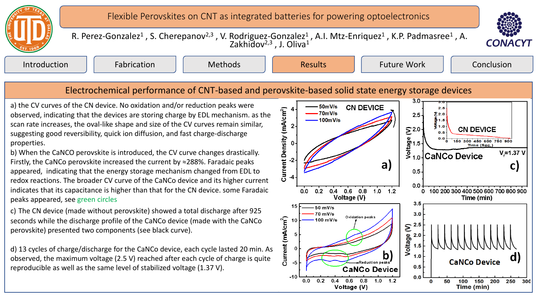



R. Perez-Gonzalez<sup>1</sup>, S. Cherepanov<sup>2,3</sup>, V. Rodriguez-Gonzalez<sup>1</sup>, A.I. Mtz-Enriquez<sup>1</sup>, K.P. Padmasree<sup>1</sup>, A. Zakhidov<sup>2,3</sup>, J. Oliva<sup>1</sup>

Introduction || Fabrication || Methods || Results || Future-Work || Conclusion

Results | Future Work

### Electrochemical performance of CNT-based and perovskite-based solid state energy storage devices

a) the CV curves of the CN device. No oxidation and/or reduction peaks were observed, indicating that the devices are storing charge by EDL mechanism. as the scan rate increases, the oval-like shape and size of the CV curves remain similar, suggesting good reversibility, quick ion diffusion, and fast charge-discharge properties.

b) When the CaNCO perovskite is introduced, the CV curve changes drastically. Firstly, the CaNCo perovskite increased the current by ≈288%. Faradaic peaks appeared, indicating that the energy storage mechanism changed from EDL to redox reactions. The broader CV curve of the CaNCo device and its higher current indicates that its capacitance is higher than that for the CN device. some Faradaic peaks appeared, see green circles

c) The CN device (made without perovskite) showed a total discharge after 925 seconds while the discharge profile of the CaNCo device (made with the CaNCo perovskite) presented two components (see black curve).

d) 13 cycles of charge/discharge for the CaNCo device, each cycle lasted 20 min. As observed, the maximum voltage (2.5 V) reached after each cycle of charge is quite reproducible as well as the same level of stabilized voltage (1.37 V).

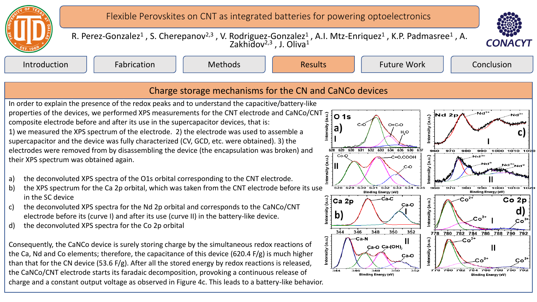



R. Perez-Gonzalez<sup>1</sup>, S. Cherepanov<sup>2,3</sup>, V. Rodriguez-Gonzalez<sup>1</sup>, A.I. Mtz-Enriquez<sup>1</sup>, K.P. Padmasree<sup>1</sup>, A. Zakhidov<sup>2,3</sup>, J. Oliva<sup>1</sup>

Introduction || Fabrication || Methods || Results || Future-Work || Conclusion

Results | Future Work

# Charge storage mechanisms for the CN and CaNCo devices

In order to explain the presence of the redox peaks and to understand the capacitive/battery-like In order to explain the presence of the reason perms and complete CNT electrode and CaNCo/CNT  $\frac{3}{3}$ :<br>Broperties of the devices, we performed XPS measurements for the CNT electrode and CaNCo/CNT composite electrode before and after its use in the supercapacitor devices, that is: 1) we measured the XPS spectrum of the electrode. 2) the electrode was used to assemble a supercapacitor and the device was fully characterized (CV, GCD, etc. were obtained). 3) the electrodes were removed from by disassembling the device (the encapsulation was broken) and their XPS spectrum was obtained again.

- a) the deconvoluted XPS spectra of the O1s orbital corresponding to the CNT electrode.
- b) the XPS spectrum for the Ca 2p orbital, which was taken from the CNT electrode before its use in the SC device
- c) the deconvoluted XPS spectra for the Nd 2p orbital and corresponds to the CaNCo/CNT electrode before its (curve I) and after its use (curve II) in the battery-like device.
- d) the deconvoluted XPS spectra for the Co 2p orbital

Consequently, the CaNCo device is surely storing charge by the simultaneous redox reactions of the Ca, Nd and Co elements; therefore, the capacitance of this device (620.4 F/g) is much higher than that for the CN device (53.6 F/g). After all the stored energy by redox reactions is released, the CaNCo/CNT electrode starts its faradaic decomposition, provoking a continuous release of charge and a constant output voltage as observed in Figure 4c. This leads to a battery-like behavior.

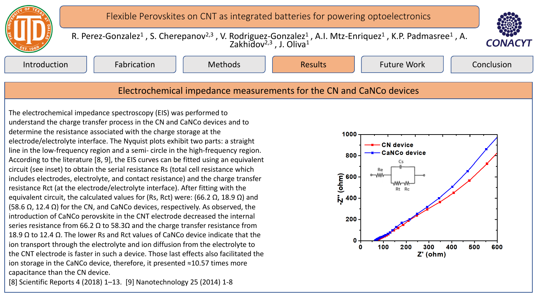



R. Perez-Gonzalez<sup>1</sup>, S. Cherepanov<sup>2,3</sup>, V. Rodriguez-Gonzalez<sup>1</sup>, A.I. Mtz-Enriquez<sup>1</sup>, K.P. Padmasree<sup>1</sup>, A. Zakhidov<sup>2,3</sup>, J. Oliva<sup>1</sup>

Introduction || Fabrication || Methods || Results || Future-Work || Conclusion

Results | Future Work

#### Electrochemical impedance measurements for the CN and CaNCo devices

The electrochemical impedance spectroscopy (EIS) was performed to understand the charge transfer process in the CN and CaNCo devices and to determine the resistance associated with the charge storage at the electrode/electrolyte interface. The Nyquist plots exhibit two parts: a straight line in the low-frequency region and a semi- circle in the high-frequency region. According to the literature [8, 9], the EIS curves can be fitted using an equivalent circuit (see inset) to obtain the serial resistance Rs (total cell resistance which includes electrodes, electrolyte, and contact resistance) and the charge transfer resistance Rct (at the electrode/electrolyte interface). After fitting with the equivalent circuit, the calculated values for (Rs, Rct) were: (66.2 Ω, 18.9 Ω) and (58.6  $\Omega$ , 12.4  $\Omega$ ) for the CN, and CaNCo devices, respectively. As observed, the introduction of CaNCo perovskite in the CNT electrode decreased the internal series resistance from 66.2  $\Omega$  to 58.3 $\Omega$  and the charge transfer resistance from 18.9 Ω to 12.4 Ω. The lower Rs and Rct values of CaNCo device indicate that the ion transport through the electrolyte and ion diffusion from the electrolyte to the CNT electrode is faster in such a device. Those last effects also facilitated the ion storage in the CaNCo device, therefore, it presented ≈10.57 times more capacitance than the CN device.

[8] Scientific Reports 4 (2018) 1–13. [9] Nanotechnology 25 (2014) 1-8

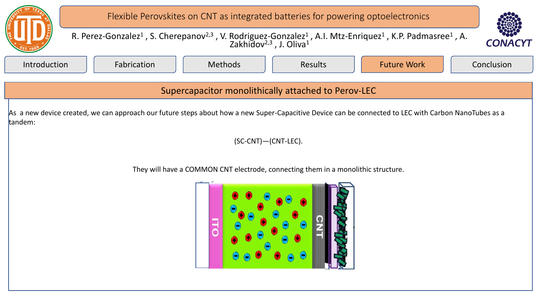